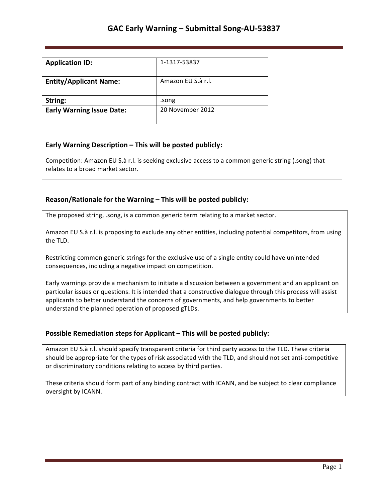| <b>Application ID:</b>           | 1-1317-53837       |
|----------------------------------|--------------------|
| <b>Entity/Applicant Name:</b>    | Amazon EU S.à r.l. |
| String:                          | .song              |
| <b>Early Warning Issue Date:</b> | 20 November 2012   |

## **Early Warning Description – This will be posted publicly:**

Competition: Amazon EU S.à r.l. is seeking exclusive access to a common generic string (.song) that relates to a broad market sector.

## **Reason/Rationale for the Warning – This will be posted publicly:**

The proposed string, .song, is a common generic term relating to a market sector.

Amazon EU S.à r.l. is proposing to exclude any other entities, including potential competitors, from using the TLD.

Restricting common generic strings for the exclusive use of a single entity could have unintended consequences, including a negative impact on competition.

Early warnings provide a mechanism to initiate a discussion between a government and an applicant on particular issues or questions. It is intended that a constructive dialogue through this process will assist applicants to better understand the concerns of governments, and help governments to better understand the planned operation of proposed gTLDs.

## **Possible Remediation steps for Applicant – This will be posted publicly:**

Amazon EU S.à r.l. should specify transparent criteria for third party access to the TLD. These criteria should be appropriate for the types of risk associated with the TLD, and should not set anti-competitive or discriminatory conditions relating to access by third parties.

These criteria should form part of any binding contract with ICANN, and be subject to clear compliance oversight by ICANN.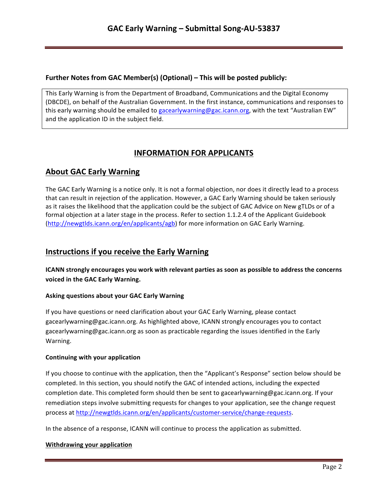### **Further Notes from GAC Member(s) (Optional) – This will be posted publicly:**

This Early Warning is from the Department of Broadband, Communications and the Digital Economy (DBCDE), on behalf of the Australian Government. In the first instance, communications and responses to this early warning should be emailed to gacearlywarning@gac.icann.org, with the text "Australian EW" and the application ID in the subject field.

# **INFORMATION FOR APPLICANTS**

## **About GAC Early Warning**

The GAC Early Warning is a notice only. It is not a formal objection, nor does it directly lead to a process that can result in rejection of the application. However, a GAC Early Warning should be taken seriously as it raises the likelihood that the application could be the subject of GAC Advice on New gTLDs or of a formal objection at a later stage in the process. Refer to section 1.1.2.4 of the Applicant Guidebook (http://newgtlds.icann.org/en/applicants/agb) for more information on GAC Early Warning.

## **Instructions if you receive the Early Warning**

**ICANN** strongly encourages you work with relevant parties as soon as possible to address the concerns voiced in the GAC Early Warning.

### **Asking questions about your GAC Early Warning**

If you have questions or need clarification about your GAC Early Warning, please contact gacearlywarning@gac.icann.org. As highlighted above, ICANN strongly encourages you to contact gacearlywarning@gac.icann.org as soon as practicable regarding the issues identified in the Early Warning. 

### **Continuing with your application**

If you choose to continue with the application, then the "Applicant's Response" section below should be completed. In this section, you should notify the GAC of intended actions, including the expected completion date. This completed form should then be sent to gacearlywarning@gac.icann.org. If your remediation steps involve submitting requests for changes to your application, see the change request process at http://newgtlds.icann.org/en/applicants/customer-service/change-requests.

In the absence of a response, ICANN will continue to process the application as submitted.

### **Withdrawing your application**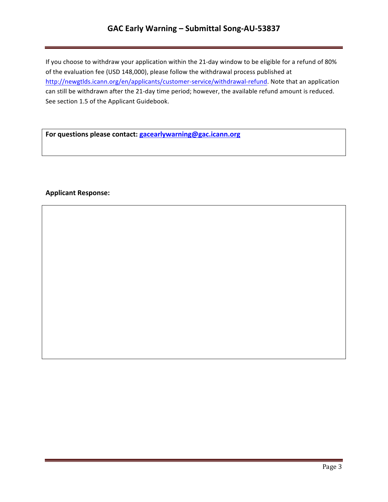# GAC Early Warning - Submittal Song-AU-53837

If you choose to withdraw your application within the 21-day window to be eligible for a refund of 80% of the evaluation fee (USD 148,000), please follow the withdrawal process published at http://newgtlds.icann.org/en/applicants/customer-service/withdrawal-refund. Note that an application can still be withdrawn after the 21-day time period; however, the available refund amount is reduced. See section 1.5 of the Applicant Guidebook.

For questions please contact: **gacearlywarning@gac.icann.org** 

### **Applicant Response:**